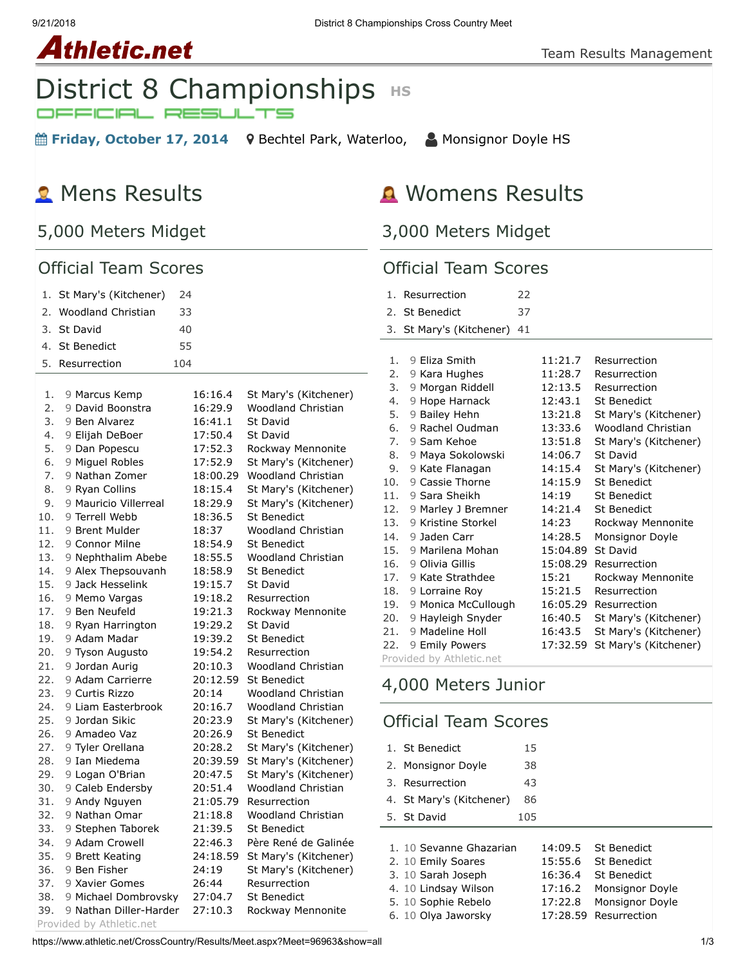#### 9/21/2018 District 8 Championships Cross Country Meet

#### Team Results Management



**■ Friday, October 17, 2014** 9 [Bechtel Park, Waterloo,](https://maps.google.com/maps?saddr=&daddr=Bechtel%20Park,%20185%20Bridge%20St.%20West,%20Waterloo%20N2K%201K8&hl=en) △ [Monsignor Doyle HS](https://www.athletic.net/CrossCountry/School.aspx?SchoolID=27459)

# **R** Mens Results

**Athletic.net** 

## 5,000 Meters Midget

#### Official Team Scores

| 1.  | St Mary's (Kitchener)     | 24    |          |                           |
|-----|---------------------------|-------|----------|---------------------------|
| 2.  | <b>Woodland Christian</b> | 33    |          |                           |
| 3.  | St David                  | 40    |          |                           |
| 4.  | <b>St Benedict</b>        | 55    |          |                           |
| 5.  | Resurrection              | 104   |          |                           |
|     |                           |       |          |                           |
| 1.  | 9 Marcus Kemp             |       | 16:16.4  | St Mary's (Kitchener)     |
| 2.  | 9 David Boonstra          |       | 16:29.9  | Woodland Christian        |
| 3.  | 9 Ben Alvarez             |       | 16:41.1  | St David                  |
| 4.  | 9 Elijah DeBoer           |       | 17:50.4  | St David                  |
| 5.  | 9 Dan Popescu             |       | 17:52.3  | Rockway Mennonite         |
| 6.  | 9 Miguel Robles           |       | 17:52.9  | St Mary's (Kitchener)     |
| 7.  | 9 Nathan Zomer            |       | 18:00.29 | <b>Woodland Christian</b> |
| 8.  | 9 Ryan Collins            |       | 18:15.4  | St Mary's (Kitchener)     |
| 9.  | 9 Mauricio Villerreal     |       | 18:29.9  | St Mary's (Kitchener)     |
| 10. | 9 Terrell Webb            |       | 18:36.5  | <b>St Benedict</b>        |
| 11. | 9 Brent Mulder            | 18:37 |          | Woodland Christian        |
| 12. | 9 Connor Milne            |       | 18:54.9  | <b>St Benedict</b>        |
| 13. | 9 Nephthalim Abebe        |       | 18:55.5  | <b>Woodland Christian</b> |
| 14. | 9 Alex Thepsouvanh        |       | 18:58.9  | <b>St Benedict</b>        |
| 15. | 9 Jack Hesselink          |       | 19:15.7  | St David                  |
| 16. | 9 Memo Vargas             |       | 19:18.2  | Resurrection              |
| 17. | 9 Ben Neufeld             |       | 19:21.3  | Rockway Mennonite         |
| 18. | 9 Ryan Harrington         |       | 19:29.2  | St David                  |
| 19. | 9 Adam Madar              |       | 19:39.2  | <b>St Benedict</b>        |
| 20. | 9 Tyson Augusto           |       | 19:54.2  | Resurrection              |
| 21. | 9 Jordan Aurig            |       | 20:10.3  | <b>Woodland Christian</b> |
| 22. | 9 Adam Carrierre          |       | 20:12.59 | <b>St Benedict</b>        |
| 23. | 9 Curtis Rizzo            | 20:14 |          | <b>Woodland Christian</b> |
| 24. | 9 Liam Easterbrook        |       | 20:16.7  | <b>Woodland Christian</b> |
| 25. | 9 Jordan Sikic            |       | 20:23.9  | St Mary's (Kitchener)     |
| 26. | 9 Amadeo Vaz              |       | 20:26.9  | <b>St Benedict</b>        |
| 27. | 9 Tyler Orellana          |       | 20:28.2  | St Mary's (Kitchener)     |
| 28. | 9 Ian Miedema             |       | 20:39.59 | St Mary's (Kitchener)     |
| 29. | 9 Logan O'Brian           |       | 20:47.5  | St Mary's (Kitchener)     |
| 30. | 9 Caleb Endersby          |       | 20:51.4  | Woodland Christian        |
| 31. | 9 Andy Nguyen             |       | 21:05.79 | Resurrection              |
| 32. | 9 Nathan Omar             |       | 21:18.8  | <b>Woodland Christian</b> |
| 33. | 9 Stephen Taborek         |       | 21:39.5  | <b>St Benedict</b>        |
| 34. | 9 Adam Crowell            |       | 22:46.3  | Père René de Galinée      |
| 35. | 9 Brett Keating           |       | 24:18.59 | St Mary's (Kitchener)     |
| 36. | 9 Ben Fisher              | 24:19 |          | St Mary's (Kitchener)     |
| 37. | 9 Xavier Gomes            | 26:44 |          | Resurrection              |
| 38. | 9 Michael Dombrovsky      |       | 27:04.7  | <b>St Benedict</b>        |
| 39. | 9 Nathan Diller-Harder    |       | 27:10.3  | Rockway Mennonite         |
|     | Provided by Athletic.net  |       |          |                           |

# Womens Results

#### 3,000 Meters Midget

#### Official Team Scores

| 1. Resurrection |  |
|-----------------|--|
|                 |  |

|     | 2. St Benedict           | 37 |          |                           |
|-----|--------------------------|----|----------|---------------------------|
|     | 3. St Mary's (Kitchener) | 41 |          |                           |
|     |                          |    |          |                           |
| 1.  | 9 Eliza Smith            |    | 11:21.7  | Resurrection              |
| 2.  | 9 Kara Hughes            |    | 11:28.7  | Resurrection              |
| 3.  | 9 Morgan Riddell         |    | 12:13.5  | Resurrection              |
| 4.  | 9 Hope Harnack           |    | 12:43.1  | St Benedict               |
| 5.  | 9 Bailey Hehn            |    | 13:21.8  | St Mary's (Kitchener)     |
| 6.  | 9 Rachel Oudman          |    | 13:33.6  | <b>Woodland Christian</b> |
| 7.  | 9 Sam Kehoe              |    | 13:51.8  | St Mary's (Kitchener)     |
| 8.  | 9 Maya Sokolowski        |    | 14:06.7  | St David                  |
| 9.  | 9 Kate Flanagan          |    | 14:15.4  | St Mary's (Kitchener)     |
| 10. | 9 Cassie Thorne          |    | 14:15.9  | <b>St Benedict</b>        |
| 11. | 9 Sara Sheikh            |    | 14:19    | <b>St Benedict</b>        |
| 12. | 9 Marley J Bremner       |    | 14:21.4  | St Benedict               |
| 13. | 9 Kristine Storkel       |    | 14:23    | Rockway Mennonite         |
| 14. | 9 Jaden Carr             |    | 14:28.5  | Monsignor Doyle           |
| 15. | 9 Marilena Mohan         |    | 15:04.89 | St David                  |
| 16. | 9 Olivia Gillis          |    | 15:08.29 | Resurrection              |
| 17. | 9 Kate Strathdee         |    | 15:21    | Rockway Mennonite         |
|     | 18. 9 Lorraine Roy       |    | 15:21.5  | Resurrection              |
|     | 19. 9 Monica McCullough  |    | 16:05.29 | Resurrection              |
| 20. | 9 Hayleigh Snyder        |    | 16:40.5  | St Mary's (Kitchener)     |
| 21. | 9 Madeline Holl          |    | 16:43.5  | St Mary's (Kitchener)     |
| 22. | 9 Emily Powers           |    | 17:32.59 | St Mary's (Kitchener)     |
|     | Provided by Athletic.net |    |          |                           |

#### 4,000 Meters Junior

## Official Team Scores

| 1. St Benedict           | 15   |
|--------------------------|------|
| 2. Monsignor Doyle       | 38   |
| 3. Resurrection          | 43   |
| 4. St Mary's (Kitchener) | 86   |
| 5. St David              | 1.05 |

| 1. 10 Sevanne Ghazarian | 14:09.5 St Benedict     |
|-------------------------|-------------------------|
| 2. 10 Emily Soares      | 15:55.6 St Benedict     |
| 3. 10 Sarah Joseph      | 16:36.4 St Benedict     |
| 4. 10 Lindsay Wilson    | 17:16.2 Monsignor Doyle |
| 5. 10 Sophie Rebelo     | 17:22.8 Monsignor Doyle |
| 6. 10 Olya Jaworsky     | 17:28.59 Resurrection   |

https://www.athletic.net/CrossCountry/Results/Meet.aspx?Meet=96963&show=all 1/3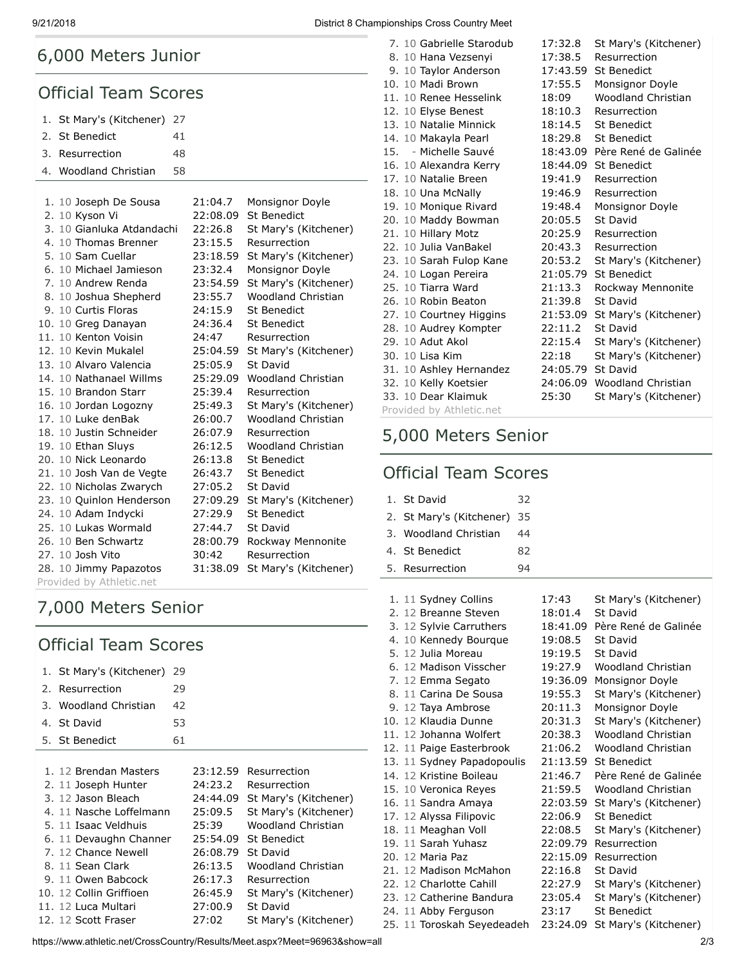# 6,000 Meters Junior

#### Official Team Scores

| 1. St Mary's (Kitchener) 27 |    |
|-----------------------------|----|
| 2. St Benedict              | 41 |
| 3. Resurrection             | 48 |

4. [Woodland Christian](https://www.athletic.net/CrossCountry/School.aspx?SchoolID=27436) 58

| 1. 10 Joseph De Sousa     | 21:04.7  | Monsignor Doyle       |
|---------------------------|----------|-----------------------|
| 2. 10 Kyson Vi            | 22:08.09 | <b>St Benedict</b>    |
| 3. 10 Gianluka Atdandachi | 22:26.8  | St Mary's (Kitchener) |
| 4. 10 Thomas Brenner      | 23:15.5  | Resurrection          |
| 5. 10 Sam Cuellar         | 23:18.59 | St Mary's (Kitchener) |
| 6. 10 Michael Jamieson    | 23:32.4  | Monsignor Doyle       |
| 7. 10 Andrew Renda        | 23:54.59 | St Mary's (Kitchener) |
| 8. 10 Joshua Shepherd     | 23:55.7  | Woodland Christian    |
| 9. 10 Curtis Floras       | 24:15.9  | St Benedict           |
| 10. 10 Greg Danayan       | 24:36.4  | <b>St Benedict</b>    |
| 11. 10 Kenton Voisin      | 24:47    | Resurrection          |
| 12. 10 Kevin Mukalel      | 25:04.59 | St Mary's (Kitchener) |
| 13. 10 Alvaro Valencia    | 25:05.9  | St David              |
| 14. 10 Nathanael Willms   | 25:29.09 | Woodland Christian    |
| 15. 10 Brandon Starr      | 25:39.4  | Resurrection          |
| 16. 10 Jordan Logozny     | 25:49.3  | St Mary's (Kitchener) |
| 17. 10 Luke denBak        | 26:00.7  | Woodland Christian    |
| 18. 10 Justin Schneider   | 26:07.9  | Resurrection          |
| 19. 10 Ethan Sluys        | 26:12.5  | Woodland Christian    |
| 20. 10 Nick Leonardo      | 26:13.8  | St Benedict           |
| 21. 10 Josh Van de Vegte  | 26:43.7  | <b>St Benedict</b>    |
| 22. 10 Nicholas Zwarych   | 27:05.2  | <b>St David</b>       |
| 23. 10 Quinlon Henderson  | 27:09.29 | St Mary's (Kitchener) |
| 24. 10 Adam Indycki       | 27:29.9  | <b>St Benedict</b>    |
| 25. 10 Lukas Wormald      | 27:44.7  | <b>St David</b>       |
| 26. 10 Ben Schwartz       | 28:00.79 | Rockway Mennonite     |
| 27. 10 Josh Vito          | 30:42    | Resurrection          |
| 28. 10 Jimmy Papazotos    | 31:38.09 | St Mary's (Kitchener) |
| Provided by Athletic.net  |          |                       |

# 7,000 Meters Senior

## Official Team Scores

| 1. St Mary's (Kitchener) 29 |    |
|-----------------------------|----|
| 2. Resurrection             | 29 |
| 3. Woodland Christian       | 42 |
| 4. St David                 | 53 |
| 5. St Benedict              | 61 |
|                             |    |

| 1. 12 Brendan Masters   | 23:12.59 | Resurrection              |
|-------------------------|----------|---------------------------|
| 2. 11 Joseph Hunter     | 24:23.2  | Resurrection              |
| 3. 12 Jason Bleach      | 24:44.09 | St Mary's (Kitchener)     |
| 4. 11 Nasche Loffelmann | 25:09.5  | St Mary's (Kitchener)     |
| 5. 11 Isaac Veldhuis    | 25:39    | Woodland Christian        |
| 6. 11 Devaughn Channer  |          | 25:54.09 St Benedict      |
| 7. 12 Chance Newell     | 26:08.79 | St David                  |
| 8. 11 Sean Clark        | 26:13.5  | <b>Woodland Christian</b> |
| 9. 11 Owen Babcock      | 26:17.3  | Resurrection              |
| 10. 12 Collin Griffioen | 26:45.9  | St Mary's (Kitchener)     |
| 11. 12 Luca Multari     | 27:00.9  | St David                  |
| 12. 12 Scott Fraser     | 27:02    | St Mary's (Kitchener)     |

https://www.athletic.net/CrossCountry/Results/Meet.aspx?Meet=96963&show=all 2/3

9/21/2018 District 8 Championships Cross Country Meet

| 7. 10 Gabrielle Starodub | 17:32.8           | St Mary's (Kitchener)         |
|--------------------------|-------------------|-------------------------------|
| 8. 10 Hana Vezsenyi      | 17:38.5           | Resurrection                  |
| 9. 10 Taylor Anderson    | 17:43.59          | <b>St Benedict</b>            |
| 10. 10 Madi Brown        | 17:55.5           | Monsignor Doyle               |
| 11. 10 Renee Hesselink   | 18:09             | <b>Woodland Christian</b>     |
| 12. 10 Elyse Benest      | 18:10.3           | Resurrection                  |
| 13. 10 Natalie Minnick   | 18:14.5           | St Benedict                   |
| 14. 10 Makayla Pearl     | 18:29.8           | <b>St Benedict</b>            |
| 15. - Michelle Sauvé     |                   | 18:43.09 Père René de Galinée |
| 16. 10 Alexandra Kerry   | 18:44.09          | St Benedict                   |
| 17. 10 Natalie Breen     | 19:41.9           | Resurrection                  |
| 18. 10 Una McNally       | 19:46.9           | Resurrection                  |
| 19. 10 Monique Rivard    | 19:48.4           | Monsignor Doyle               |
| 20. 10 Maddy Bowman      | 20:05.5           | St David                      |
| 21. 10 Hillary Motz      | 20:25.9           | Resurrection                  |
| 22. 10 Julia VanBakel    | 20:43.3           | Resurrection                  |
| 23. 10 Sarah Fulop Kane  | 20:53.2           | St Mary's (Kitchener)         |
| 24. 10 Logan Pereira     | 21:05.79          | St Benedict                   |
| 25. 10 Tiarra Ward       | 21:13.3           | Rockway Mennonite             |
| 26. 10 Robin Beaton      | 21:39.8           | St David                      |
| 27. 10 Courtney Higgins  | 21:53.09          | St Mary's (Kitchener)         |
| 28. 10 Audrey Kompter    | 22:11.2           | St David                      |
| 29. 10 Adut Akol         | 22:15.4           | St Mary's (Kitchener)         |
| 30. 10 Lisa Kim          | 22:18             | St Mary's (Kitchener)         |
| 31. 10 Ashley Hernandez  | 24:05.79 St David |                               |
| 32. 10 Kelly Koetsier    |                   | 24:06.09 Woodland Christian   |
| 33. 10 Dear Klaimuk      | 25:30             | St Mary's (Kitchener)         |
| Provided by Athletic.net |                   |                               |

# 5,000 Meters Senior

#### Official Team Scores

| 1. St David                 | 32 |
|-----------------------------|----|
| 2. St Mary's (Kitchener) 35 |    |
| 3. Woodland Christian       | 44 |
| 4. St Benedict              | 82 |
| 5. Resurrection             | 94 |

| 1. 11 Sydney Collins       | 17:43    | St Mary's (Kitchener)     |
|----------------------------|----------|---------------------------|
| 2. 12 Breanne Steven       | 18:01.4  | St David                  |
| 3. 12 Sylvie Carruthers    | 18:41.09 | Père René de Galinée      |
| 4. 10 Kennedy Bourque      | 19:08.5  | St David                  |
| 5. 12 Julia Moreau         | 19:19.5  | St David                  |
| 6. 12 Madison Visscher     | 19:27.9  | <b>Woodland Christian</b> |
| 7. 12 Emma Segato          | 19:36.09 | Monsignor Doyle           |
| 8. 11 Carina De Sousa      | 19:55.3  | St Mary's (Kitchener)     |
| 9. 12 Taya Ambrose         | 20:11.3  | Monsignor Doyle           |
| 10. 12 Klaudia Dunne       | 20:31.3  | St Mary's (Kitchener)     |
| 11. 12 Johanna Wolfert     | 20:38.3  | <b>Woodland Christian</b> |
| 12. 11 Paige Easterbrook   | 21:06.2  | Woodland Christian        |
| 13. 11 Sydney Papadopoulis | 21:13.59 | St Benedict               |
| 14. 12 Kristine Boileau    | 21:46.7  | Père René de Galinée      |
| 15. 10 Veronica Reyes      | 21:59.5  | Woodland Christian        |
| 16. 11 Sandra Amaya        | 22:03.59 | St Mary's (Kitchener)     |
| 17. 12 Alyssa Filipovic    | 22:06.9  | <b>St Benedict</b>        |
| 18. 11 Meaghan Voll        | 22:08.5  | St Mary's (Kitchener)     |
| 19. 11 Sarah Yuhasz        | 22:09.79 | Resurrection              |
| 20. 12 Maria Paz           | 22:15.09 | Resurrection              |
| 21. 12 Madison McMahon     | 22:16.8  | St David                  |
| 22. 12 Charlotte Cahill    | 22:27.9  | St Mary's (Kitchener)     |
| 23. 12 Catherine Bandura   | 23:05.4  | St Mary's (Kitchener)     |
| 24. 11 Abby Ferguson       | 23:17    | <b>St Benedict</b>        |
| 25. 11 Toroskah Seyedeadeh | 23:24.09 | St Mary's (Kitchener)     |